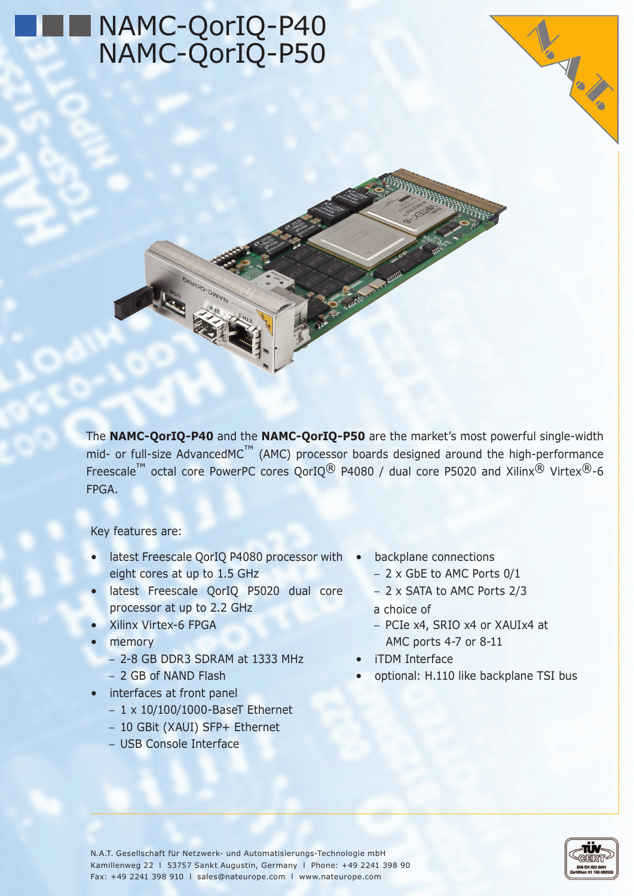# NAMC-QorIQ-P40 NAMC-QorIQ-P50



The **NAMC-QorIQ-P40** and the **NAMC-QorIQ-P50** are the market's most powerful single-width mid- or full-size AdvancedMC<sup>™</sup> (AMC) processor boards designed around the high-performance Freescale<sup>™</sup> octal core PowerPC cores QorIQ<sup>®</sup> P4080 / dual core P5020 and Xilinx<sup>®</sup> Virtex<sup>®</sup>-6 FPGA.

Key features are:

- latest Freescale QorIQ P4080 processor with . eight cores at up to 1.5 GHz
- • latest Freescale QorIQ P5020 dual core processor at up to 2.2 GHz
- Xilinx Virtex-6 FPGA
- **memory** 
	- − 2-8 GB DDR3 SDRAM at 1333 MHz
	- − 2 GB of NAND Flash
- interfaces at front panel
	- − 1 x 10/100/1000-BaseT Ethernet
	- − 10 GBit (XAUI) SFP+ Ethernet
	- − USB Console Interface
- backplane connections
	- − 2 x GbE to AMC Ports 0/1
	- − 2 x SATA to AMC Ports 2/3
	- a choice of
	- − PCIe x4, SRIO x4 or XAUIx4 at AMC ports 4-7 or 8-11
- iTDM Interface
- optional: H.110 like backplane TSI bus



VS VS X

N.A.T. Gesellschaft für Netzwerk- und Automatisierungs-Technologie mbH Kamillenweg 22 l 53757 Sankt Augustin, Germany l Phone: +49 2241 398 90 Fax: +49 2241 398 910 l sales@nateurope.com l www.nateurope.com